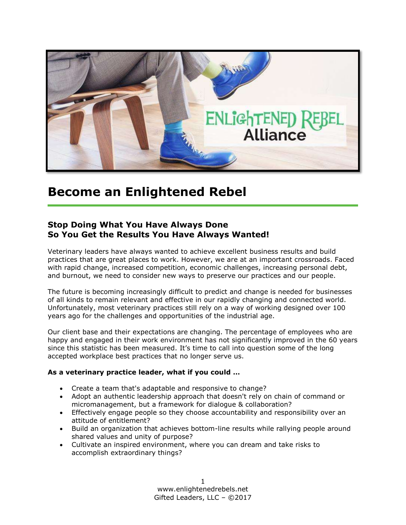

## **Become an Enlightened Rebel**

### **Stop Doing What You Have Always Done So You Get the Results You Have Always Wanted!**

Veterinary leaders have always wanted to achieve excellent business results and build practices that are great places to work. However, we are at an important crossroads. Faced with rapid change, increased competition, economic challenges, increasing personal debt, and burnout, we need to consider new ways to preserve our practices and our people.

The future is becoming increasingly difficult to predict and change is needed for businesses of all kinds to remain relevant and effective in our rapidly changing and connected world. Unfortunately, most veterinary practices still rely on a way of working designed over 100 years ago for the challenges and opportunities of the industrial age.

Our client base and their expectations are changing. The percentage of employees who are happy and engaged in their work environment has not significantly improved in the 60 years since this statistic has been measured. It's time to call into question some of the long accepted workplace best practices that no longer serve us.

#### **As a veterinary practice leader, what if you could …**

- Create a team that's adaptable and responsive to change?
- Adopt an authentic leadership approach that doesn't rely on chain of command or micromanagement, but a framework for dialogue & collaboration?
- Effectively engage people so they choose accountability and responsibility over an attitude of entitlement?
- Build an organization that achieves bottom-line results while rallying people around shared values and unity of purpose?
- Cultivate an inspired environment, where you can dream and take risks to accomplish extraordinary things?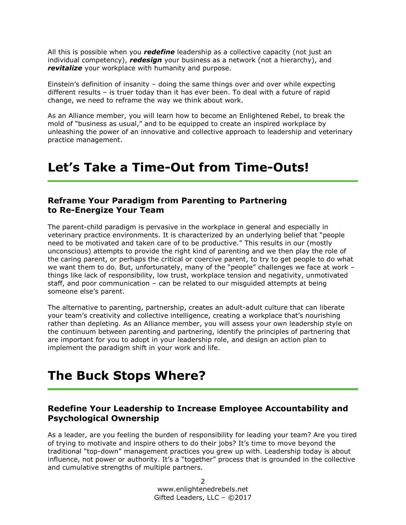All this is possible when you *redefine* leadership as a collective capacity (not just an individual competency), *redesign* your business as a network (not a hierarchy), and *revitalize* your workplace with humanity and purpose.

Einstein's definition of insanity – doing the same things over and over while expecting different results – is truer today than it has ever been. To deal with a future of rapid change, we need to reframe the way we think about work.

As an Alliance member, you will learn how to become an Enlightened Rebel, to break the mold of "business as usual," and to be equipped to create an inspired workplace by unleashing the power of an innovative and collective approach to leadership and veterinary practice management.

## **Let's Take a Time-Out from Time-Outs!**

#### **Reframe Your Paradigm from Parenting to Partnering to Re-Energize Your Team**

The parent-child paradigm is pervasive in the workplace in general and especially in veterinary practice environments. It is characterized by an underlying belief that "people need to be motivated and taken care of to be productive." This results in our (mostly unconscious) attempts to provide the right kind of parenting and we then play the role of the caring parent, or perhaps the critical or coercive parent, to try to get people to do what we want them to do. But, unfortunately, many of the "people" challenges we face at work – things like lack of responsibility, low trust, workplace tension and negativity, unmotivated staff, and poor communication – can be related to our misguided attempts at being someone else's parent.

The alternative to parenting, partnership, creates an adult-adult culture that can liberate your team's creativity and collective intelligence, creating a workplace that's nourishing rather than depleting. As an Alliance member, you will assess your own leadership style on the continuum between parenting and partnering, identify the principles of partnering that are important for you to adopt in your leadership role, and design an action plan to implement the paradigm shift in your work and life.

### **The Buck Stops Where?**

### **Redefine Your Leadership to Increase Employee Accountability and Psychological Ownership**

As a leader, are you feeling the burden of responsibility for leading your team? Are you tired of trying to motivate and inspire others to do their jobs? It's time to move beyond the traditional "top-down" management practices you grew up with. Leadership today is about influence, not power or authority. It's a "together" process that is grounded in the collective and cumulative strengths of multiple partners.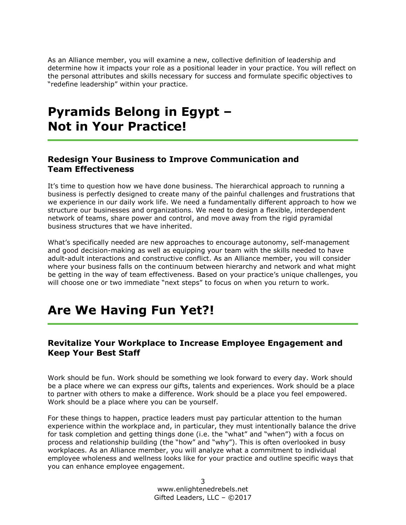As an Alliance member, you will examine a new, collective definition of leadership and determine how it impacts your role as a positional leader in your practice. You will reflect on the personal attributes and skills necessary for success and formulate specific objectives to "redefine leadership" within your practice.

### **Pyramids Belong in Egypt – Not in Your Practice!**

#### **Redesign Your Business to Improve Communication and Team Effectiveness**

It's time to question how we have done business. The hierarchical approach to running a business is perfectly designed to create many of the painful challenges and frustrations that we experience in our daily work life. We need a fundamentally different approach to how we structure our businesses and organizations. We need to design a flexible, interdependent network of teams, share power and control, and move away from the rigid pyramidal business structures that we have inherited.

What's specifically needed are new approaches to encourage autonomy, self-management and good decision-making as well as equipping your team with the skills needed to have adult-adult interactions and constructive conflict. As an Alliance member, you will consider where your business falls on the continuum between hierarchy and network and what might be getting in the way of team effectiveness. Based on your practice's unique challenges, you will choose one or two immediate "next steps" to focus on when you return to work.

# **Are We Having Fun Yet?!**

### **Revitalize Your Workplace to Increase Employee Engagement and Keep Your Best Staff**

Work should be fun. Work should be something we look forward to every day. Work should be a place where we can express our gifts, talents and experiences. Work should be a place to partner with others to make a difference. Work should be a place you feel empowered. Work should be a place where you can be yourself.

For these things to happen, practice leaders must pay particular attention to the human experience within the workplace and, in particular, they must intentionally balance the drive for task completion and getting things done (i.e. the "what" and "when") with a focus on process and relationship building (the "how" and "why"). This is often overlooked in busy workplaces. As an Alliance member, you will analyze what a commitment to individual employee wholeness and wellness looks like for your practice and outline specific ways that you can enhance employee engagement.